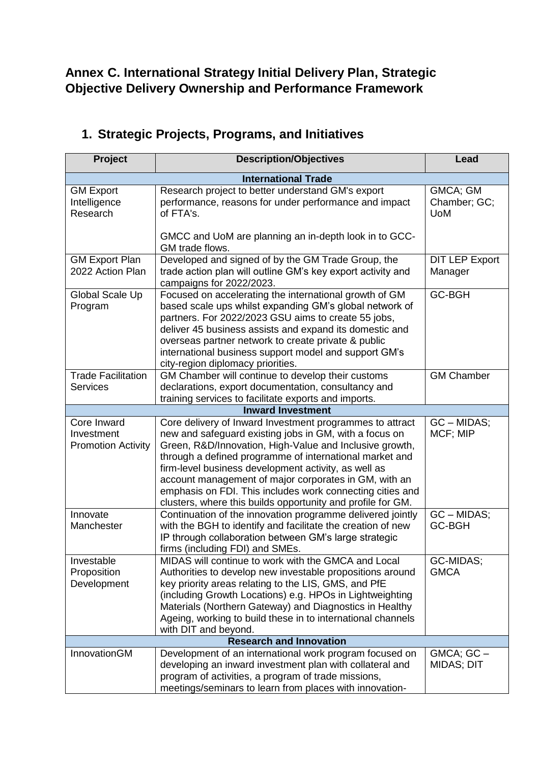## **Annex C. International Strategy Initial Delivery Plan, Strategic Objective Delivery Ownership and Performance Framework**

| Project                                                | <b>Description/Objectives</b>                                                                                                                                                                                                                                                                                                                                                                                                                                                         | Lead                                   |  |  |
|--------------------------------------------------------|---------------------------------------------------------------------------------------------------------------------------------------------------------------------------------------------------------------------------------------------------------------------------------------------------------------------------------------------------------------------------------------------------------------------------------------------------------------------------------------|----------------------------------------|--|--|
| <b>International Trade</b>                             |                                                                                                                                                                                                                                                                                                                                                                                                                                                                                       |                                        |  |  |
| <b>GM Export</b><br>Intelligence<br>Research           | Research project to better understand GM's export<br>performance, reasons for under performance and impact<br>of FTA's.<br>GMCC and UoM are planning an in-depth look in to GCC-                                                                                                                                                                                                                                                                                                      | GMCA; GM<br>Chamber; GC;<br><b>UoM</b> |  |  |
|                                                        | GM trade flows.                                                                                                                                                                                                                                                                                                                                                                                                                                                                       |                                        |  |  |
| <b>GM Export Plan</b><br>2022 Action Plan              | Developed and signed of by the GM Trade Group, the<br>trade action plan will outline GM's key export activity and<br>campaigns for 2022/2023.                                                                                                                                                                                                                                                                                                                                         | <b>DIT LEP Export</b><br>Manager       |  |  |
| Global Scale Up<br>Program                             | Focused on accelerating the international growth of GM<br>based scale ups whilst expanding GM's global network of<br>partners. For 2022/2023 GSU aims to create 55 jobs,<br>deliver 45 business assists and expand its domestic and<br>overseas partner network to create private & public<br>international business support model and support GM's<br>city-region diplomacy priorities.                                                                                              | <b>GC-BGH</b>                          |  |  |
| <b>Trade Facilitation</b>                              | GM Chamber will continue to develop their customs                                                                                                                                                                                                                                                                                                                                                                                                                                     | <b>GM Chamber</b>                      |  |  |
| <b>Services</b>                                        | declarations, export documentation, consultancy and<br>training services to facilitate exports and imports.                                                                                                                                                                                                                                                                                                                                                                           |                                        |  |  |
|                                                        | <b>Inward Investment</b>                                                                                                                                                                                                                                                                                                                                                                                                                                                              |                                        |  |  |
| Core Inward<br>Investment<br><b>Promotion Activity</b> | Core delivery of Inward Investment programmes to attract<br>new and safeguard existing jobs in GM, with a focus on<br>Green, R&D/Innovation, High-Value and Inclusive growth,<br>through a defined programme of international market and<br>firm-level business development activity, as well as<br>account management of major corporates in GM, with an<br>emphasis on FDI. This includes work connecting cities and<br>clusters, where this builds opportunity and profile for GM. | GC - MIDAS;<br>MCF; MIP                |  |  |
| Innovate<br>Manchester                                 | Continuation of the innovation programme delivered jointly<br>with the BGH to identify and facilitate the creation of new<br>IP through collaboration between GM's large strategic<br>firms (including FDI) and SMEs.                                                                                                                                                                                                                                                                 | GC - MIDAS;<br>GC-BGH                  |  |  |
| Investable<br>Proposition<br>Development               | MIDAS will continue to work with the GMCA and Local<br>Authorities to develop new investable propositions around<br>key priority areas relating to the LIS, GMS, and PfE<br>(including Growth Locations) e.g. HPOs in Lightweighting<br>Materials (Northern Gateway) and Diagnostics in Healthy<br>Ageing, working to build these in to international channels<br>with DIT and beyond.                                                                                                | GC-MIDAS;<br><b>GMCA</b>               |  |  |
|                                                        | <b>Research and Innovation</b>                                                                                                                                                                                                                                                                                                                                                                                                                                                        |                                        |  |  |
| InnovationGM                                           | Development of an international work program focused on<br>developing an inward investment plan with collateral and<br>program of activities, a program of trade missions,<br>meetings/seminars to learn from places with innovation-                                                                                                                                                                                                                                                 | GMCA; GC -<br><b>MIDAS; DIT</b>        |  |  |

## **1. Strategic Projects, Programs, and Initiatives**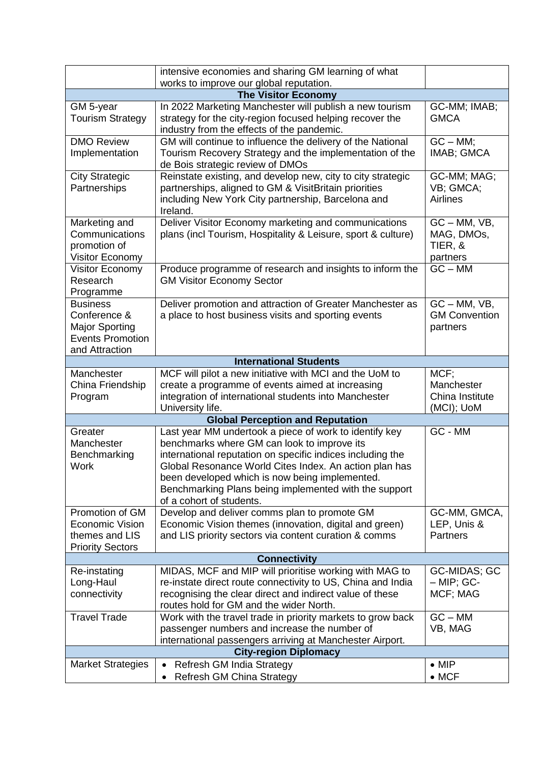|                                                                                                       | intensive economies and sharing GM learning of what                                                                                                                                                                                                                                                                                                                  |                                                         |  |  |
|-------------------------------------------------------------------------------------------------------|----------------------------------------------------------------------------------------------------------------------------------------------------------------------------------------------------------------------------------------------------------------------------------------------------------------------------------------------------------------------|---------------------------------------------------------|--|--|
| works to improve our global reputation.<br><b>The Visitor Economy</b>                                 |                                                                                                                                                                                                                                                                                                                                                                      |                                                         |  |  |
| GM 5-year<br><b>Tourism Strategy</b>                                                                  | In 2022 Marketing Manchester will publish a new tourism<br>strategy for the city-region focused helping recover the<br>industry from the effects of the pandemic.                                                                                                                                                                                                    | GC-MM; IMAB;<br><b>GMCA</b>                             |  |  |
| <b>DMO Review</b><br>Implementation                                                                   | GM will continue to influence the delivery of the National<br>Tourism Recovery Strategy and the implementation of the<br>de Bois strategic review of DMOs                                                                                                                                                                                                            | $GC - MM;$<br>IMAB; GMCA                                |  |  |
| <b>City Strategic</b><br>Partnerships                                                                 | Reinstate existing, and develop new, city to city strategic<br>partnerships, aligned to GM & VisitBritain priorities<br>including New York City partnership, Barcelona and<br>Ireland.                                                                                                                                                                               | GC-MM; MAG;<br>VB; GMCA;<br><b>Airlines</b>             |  |  |
| Marketing and<br>Communications<br>promotion of<br>Visitor Economy                                    | Deliver Visitor Economy marketing and communications<br>plans (incl Tourism, Hospitality & Leisure, sport & culture)                                                                                                                                                                                                                                                 | $GC - MM$ , $VB$ ,<br>MAG, DMOs,<br>TIER, &<br>partners |  |  |
| Visitor Economy<br>Research<br>Programme                                                              | Produce programme of research and insights to inform the<br><b>GM Visitor Economy Sector</b>                                                                                                                                                                                                                                                                         | $GC - MM$                                               |  |  |
| <b>Business</b><br>Conference &<br><b>Major Sporting</b><br><b>Events Promotion</b><br>and Attraction | Deliver promotion and attraction of Greater Manchester as<br>a place to host business visits and sporting events                                                                                                                                                                                                                                                     | $GC - MM$ , $VB$ ,<br><b>GM Convention</b><br>partners  |  |  |
|                                                                                                       | <b>International Students</b>                                                                                                                                                                                                                                                                                                                                        |                                                         |  |  |
| Manchester<br>China Friendship<br>Program                                                             | MCF will pilot a new initiative with MCI and the UoM to<br>create a programme of events aimed at increasing<br>integration of international students into Manchester<br>University life.                                                                                                                                                                             | MCF;<br>Manchester<br>China Institute<br>(MCI); UoM     |  |  |
|                                                                                                       | <b>Global Perception and Reputation</b>                                                                                                                                                                                                                                                                                                                              |                                                         |  |  |
| Greater<br>Manchester<br>Benchmarking<br><b>Work</b>                                                  | Last year MM undertook a piece of work to identify key<br>benchmarks where GM can look to improve its<br>international reputation on specific indices including the<br>Global Resonance World Cites Index. An action plan has<br>been developed which is now being implemented.<br>Benchmarking Plans being implemented with the support<br>of a cohort of students. | GC - MM                                                 |  |  |
| Promotion of GM<br>Economic Vision<br>themes and LIS<br><b>Priority Sectors</b>                       | Develop and deliver comms plan to promote GM<br>Economic Vision themes (innovation, digital and green)<br>and LIS priority sectors via content curation & comms                                                                                                                                                                                                      | GC-MM, GMCA,<br>LEP, Unis &<br><b>Partners</b>          |  |  |
| <b>Connectivity</b>                                                                                   |                                                                                                                                                                                                                                                                                                                                                                      |                                                         |  |  |
| Re-instating<br>Long-Haul<br>connectivity                                                             | MIDAS, MCF and MIP will prioritise working with MAG to<br>re-instate direct route connectivity to US, China and India<br>recognising the clear direct and indirect value of these<br>routes hold for GM and the wider North.                                                                                                                                         | GC-MIDAS; GC<br>$-$ MIP; GC-<br>MCF; MAG                |  |  |
| <b>Travel Trade</b>                                                                                   | Work with the travel trade in priority markets to grow back<br>passenger numbers and increase the number of<br>international passengers arriving at Manchester Airport.                                                                                                                                                                                              | $GC - MM$<br>VB, MAG                                    |  |  |
| <b>City-region Diplomacy</b>                                                                          |                                                                                                                                                                                                                                                                                                                                                                      |                                                         |  |  |
| <b>Market Strategies</b>                                                                              | Refresh GM India Strategy<br>Refresh GM China Strategy<br>$\bullet$                                                                                                                                                                                                                                                                                                  | $\bullet$ MIP<br>$\bullet$ MCF                          |  |  |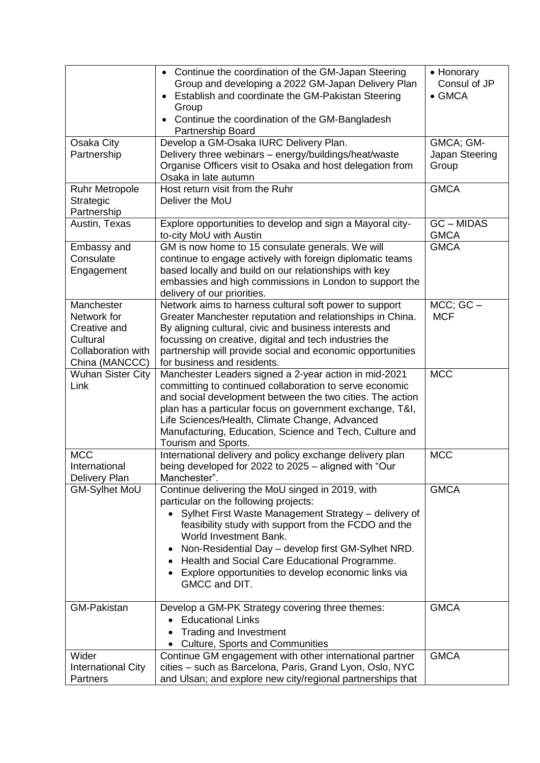|                                                                                               | • Continue the coordination of the GM-Japan Steering<br>Group and developing a 2022 GM-Japan Delivery Plan<br>Establish and coordinate the GM-Pakistan Steering<br>Group<br>Continue the coordination of the GM-Bangladesh<br>Partnership Board                                                                                                                                                                    | • Honorary<br>Consul of JP<br>$\bullet$ GMCA |
|-----------------------------------------------------------------------------------------------|--------------------------------------------------------------------------------------------------------------------------------------------------------------------------------------------------------------------------------------------------------------------------------------------------------------------------------------------------------------------------------------------------------------------|----------------------------------------------|
| Osaka City<br>Partnership                                                                     | Develop a GM-Osaka IURC Delivery Plan.<br>Delivery three webinars - energy/buildings/heat/waste<br>Organise Officers visit to Osaka and host delegation from<br>Osaka in late autumn                                                                                                                                                                                                                               | GMCA; GM-<br>Japan Steering<br>Group         |
| <b>Ruhr Metropole</b><br>Strategic<br>Partnership                                             | Host return visit from the Ruhr<br>Deliver the MoU                                                                                                                                                                                                                                                                                                                                                                 | <b>GMCA</b>                                  |
| Austin, Texas                                                                                 | Explore opportunities to develop and sign a Mayoral city-<br>to-city MoU with Austin                                                                                                                                                                                                                                                                                                                               | <b>GC-MIDAS</b><br><b>GMCA</b>               |
| Embassy and<br>Consulate<br>Engagement                                                        | GM is now home to 15 consulate generals. We will<br>continue to engage actively with foreign diplomatic teams<br>based locally and build on our relationships with key<br>embassies and high commissions in London to support the<br>delivery of our priorities.                                                                                                                                                   | <b>GMCA</b>                                  |
| Manchester<br>Network for<br>Creative and<br>Cultural<br>Collaboration with<br>China (MANCCC) | Network aims to harness cultural soft power to support<br>Greater Manchester reputation and relationships in China.<br>By aligning cultural, civic and business interests and<br>focussing on creative, digital and tech industries the<br>partnership will provide social and economic opportunities<br>for business and residents.                                                                               | $MCC$ ; $GC -$<br><b>MCF</b>                 |
| <b>Wuhan Sister City</b><br>Link                                                              | Manchester Leaders signed a 2-year action in mid-2021<br>committing to continued collaboration to serve economic<br>and social development between the two cities. The action<br>plan has a particular focus on government exchange, T&I,<br>Life Sciences/Health, Climate Change, Advanced<br>Manufacturing, Education, Science and Tech, Culture and<br>Tourism and Sports.                                      | <b>MCC</b>                                   |
| <b>MCC</b><br>International<br><b>Delivery Plan</b>                                           | International delivery and policy exchange delivery plan<br>being developed for 2022 to 2025 - aligned with "Our<br>Manchester".                                                                                                                                                                                                                                                                                   | <b>MCC</b>                                   |
| <b>GM-Sylhet MoU</b>                                                                          | Continue delivering the MoU singed in 2019, with<br>particular on the following projects:<br>Sylhet First Waste Management Strategy - delivery of<br>feasibility study with support from the FCDO and the<br>World Investment Bank.<br>Non-Residential Day - develop first GM-Sylhet NRD.<br>Health and Social Care Educational Programme.<br>Explore opportunities to develop economic links via<br>GMCC and DIT. | <b>GMCA</b>                                  |
| <b>GM-Pakistan</b>                                                                            | Develop a GM-PK Strategy covering three themes:<br><b>Educational Links</b><br><b>Trading and Investment</b><br><b>Culture, Sports and Communities</b>                                                                                                                                                                                                                                                             | <b>GMCA</b>                                  |
| Wider                                                                                         | Continue GM engagement with other international partner                                                                                                                                                                                                                                                                                                                                                            | <b>GMCA</b>                                  |
| International City<br>Partners                                                                | cities - such as Barcelona, Paris, Grand Lyon, Oslo, NYC<br>and Ulsan; and explore new city/regional partnerships that                                                                                                                                                                                                                                                                                             |                                              |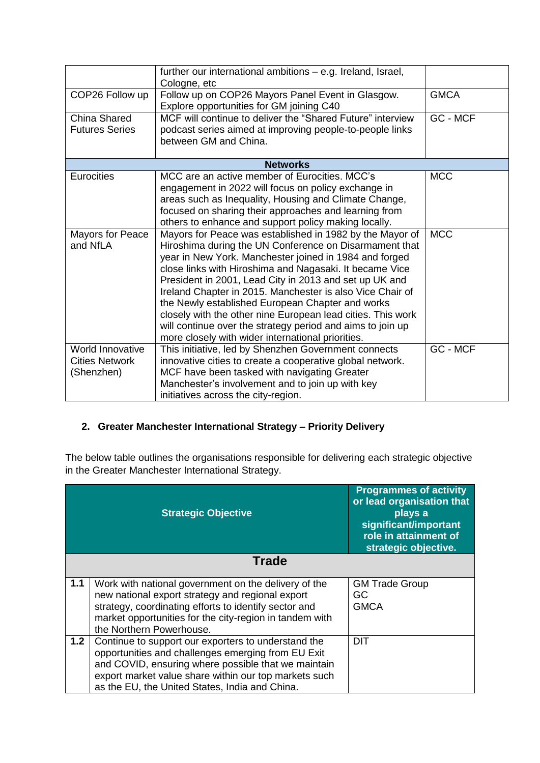|                       | further our international ambitions - e.g. Ireland, Israel,<br>Cologne, etc                                     |             |
|-----------------------|-----------------------------------------------------------------------------------------------------------------|-------------|
| COP26 Follow up       | Follow up on COP26 Mayors Panel Event in Glasgow.<br>Explore opportunities for GM joining C40                   | <b>GMCA</b> |
| <b>China Shared</b>   | MCF will continue to deliver the "Shared Future" interview                                                      | GC - MCF    |
| <b>Futures Series</b> | podcast series aimed at improving people-to-people links                                                        |             |
|                       | between GM and China.                                                                                           |             |
|                       |                                                                                                                 |             |
|                       | <b>Networks</b>                                                                                                 |             |
| <b>Eurocities</b>     | MCC are an active member of Eurocities, MCC's                                                                   | <b>MCC</b>  |
|                       | engagement in 2022 will focus on policy exchange in                                                             |             |
|                       | areas such as Inequality, Housing and Climate Change,                                                           |             |
|                       | focused on sharing their approaches and learning from                                                           |             |
|                       | others to enhance and support policy making locally.                                                            |             |
| Mayors for Peace      | Mayors for Peace was established in 1982 by the Mayor of                                                        | <b>MCC</b>  |
| and NfLA              | Hiroshima during the UN Conference on Disarmament that                                                          |             |
|                       | year in New York. Manchester joined in 1984 and forged                                                          |             |
|                       | close links with Hiroshima and Nagasaki. It became Vice                                                         |             |
|                       | President in 2001, Lead City in 2013 and set up UK and                                                          |             |
|                       | Ireland Chapter in 2015. Manchester is also Vice Chair of                                                       |             |
|                       | the Newly established European Chapter and works<br>closely with the other nine European lead cities. This work |             |
|                       | will continue over the strategy period and aims to join up                                                      |             |
|                       | more closely with wider international priorities.                                                               |             |
| World Innovative      | This initiative, led by Shenzhen Government connects                                                            | GC - MCF    |
| <b>Cities Network</b> | innovative cities to create a cooperative global network.                                                       |             |
| (Shenzhen)            | MCF have been tasked with navigating Greater                                                                    |             |
|                       | Manchester's involvement and to join up with key                                                                |             |
|                       | initiatives across the city-region.                                                                             |             |

## **2. Greater Manchester International Strategy – Priority Delivery**

The below table outlines the organisations responsible for delivering each strategic objective in the Greater Manchester International Strategy.

|     | <b>Strategic Objective</b>                                                                                                                                                                                                                                                  | <b>Programmes of activity</b><br>or lead organisation that<br>plays a<br>significant/important<br>role in attainment of<br>strategic objective. |
|-----|-----------------------------------------------------------------------------------------------------------------------------------------------------------------------------------------------------------------------------------------------------------------------------|-------------------------------------------------------------------------------------------------------------------------------------------------|
|     | <b>Trade</b>                                                                                                                                                                                                                                                                |                                                                                                                                                 |
| 1.1 | Work with national government on the delivery of the<br>new national export strategy and regional export<br>strategy, coordinating efforts to identify sector and<br>market opportunities for the city-region in tandem with<br>the Northern Powerhouse.                    | <b>GM Trade Group</b><br>GC<br><b>GMCA</b>                                                                                                      |
| 1.2 | Continue to support our exporters to understand the<br>opportunities and challenges emerging from EU Exit<br>and COVID, ensuring where possible that we maintain<br>export market value share within our top markets such<br>as the EU, the United States, India and China. | DIT                                                                                                                                             |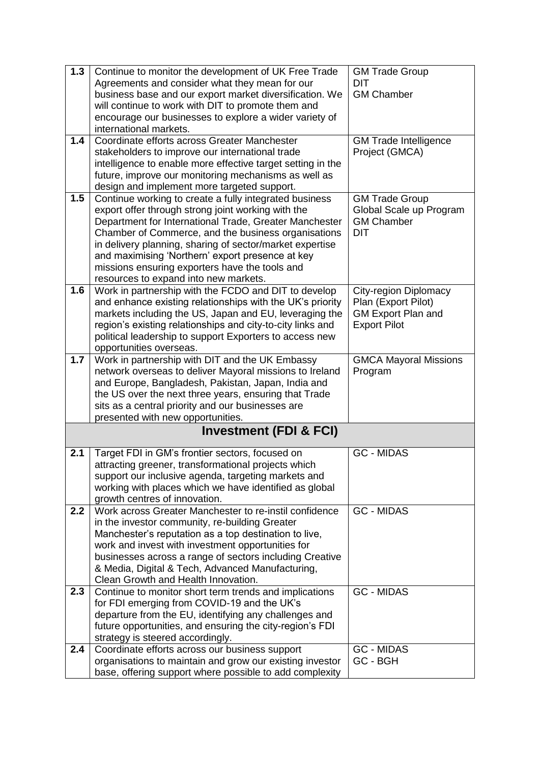| 1.3 | Continue to monitor the development of UK Free Trade                                                         | <b>GM Trade Group</b>                        |
|-----|--------------------------------------------------------------------------------------------------------------|----------------------------------------------|
|     | Agreements and consider what they mean for our                                                               | <b>DIT</b>                                   |
|     | business base and our export market diversification. We                                                      | <b>GM Chamber</b>                            |
|     | will continue to work with DIT to promote them and                                                           |                                              |
|     | encourage our businesses to explore a wider variety of                                                       |                                              |
|     | international markets.                                                                                       |                                              |
| 1.4 | Coordinate efforts across Greater Manchester                                                                 | <b>GM Trade Intelligence</b>                 |
|     | stakeholders to improve our international trade                                                              | Project (GMCA)                               |
|     | intelligence to enable more effective target setting in the                                                  |                                              |
|     | future, improve our monitoring mechanisms as well as                                                         |                                              |
|     | design and implement more targeted support.                                                                  |                                              |
| 1.5 | Continue working to create a fully integrated business                                                       | <b>GM Trade Group</b>                        |
|     | export offer through strong joint working with the<br>Department for International Trade, Greater Manchester | Global Scale up Program<br><b>GM Chamber</b> |
|     | Chamber of Commerce, and the business organisations                                                          | <b>DIT</b>                                   |
|     | in delivery planning, sharing of sector/market expertise                                                     |                                              |
|     | and maximising 'Northern' export presence at key                                                             |                                              |
|     | missions ensuring exporters have the tools and                                                               |                                              |
|     | resources to expand into new markets.                                                                        |                                              |
| 1.6 | Work in partnership with the FCDO and DIT to develop                                                         | <b>City-region Diplomacy</b>                 |
|     | and enhance existing relationships with the UK's priority                                                    | Plan (Export Pilot)                          |
|     | markets including the US, Japan and EU, leveraging the                                                       | <b>GM Export Plan and</b>                    |
|     | region's existing relationships and city-to-city links and                                                   | <b>Export Pilot</b>                          |
|     | political leadership to support Exporters to access new                                                      |                                              |
|     | opportunities overseas.                                                                                      |                                              |
| 1.7 | Work in partnership with DIT and the UK Embassy                                                              | <b>GMCA Mayoral Missions</b>                 |
|     | network overseas to deliver Mayoral missions to Ireland                                                      | Program                                      |
|     | and Europe, Bangladesh, Pakistan, Japan, India and                                                           |                                              |
|     | the US over the next three years, ensuring that Trade                                                        |                                              |
|     | sits as a central priority and our businesses are                                                            |                                              |
|     | presented with new opportunities.                                                                            |                                              |
|     | <b>Investment (FDI &amp; FCI)</b>                                                                            |                                              |
| 2.1 | Target FDI in GM's frontier sectors, focused on                                                              | <b>GC - MIDAS</b>                            |
|     | attracting greener, transformational projects which                                                          |                                              |
|     | support our inclusive agenda, targeting markets and                                                          |                                              |
|     | working with places which we have identified as global                                                       |                                              |
|     | growth centres of innovation.                                                                                |                                              |
| 2.2 | Work across Greater Manchester to re-instil confidence                                                       | <b>GC - MIDAS</b>                            |
|     | in the investor community, re-building Greater                                                               |                                              |
|     | Manchester's reputation as a top destination to live,                                                        |                                              |
|     | work and invest with investment opportunities for                                                            |                                              |
|     | businesses across a range of sectors including Creative                                                      |                                              |
|     | & Media, Digital & Tech, Advanced Manufacturing,<br>Clean Growth and Health Innovation.                      |                                              |
| 2.3 | Continue to monitor short term trends and implications                                                       | <b>GC - MIDAS</b>                            |
|     | for FDI emerging from COVID-19 and the UK's                                                                  |                                              |
|     | departure from the EU, identifying any challenges and                                                        |                                              |
|     | future opportunities, and ensuring the city-region's FDI                                                     |                                              |
|     | strategy is steered accordingly.                                                                             |                                              |
| 2.4 | Coordinate efforts across our business support                                                               | <b>GC - MIDAS</b>                            |
|     | organisations to maintain and grow our existing investor                                                     | GC - BGH                                     |
|     | base, offering support where possible to add complexity                                                      |                                              |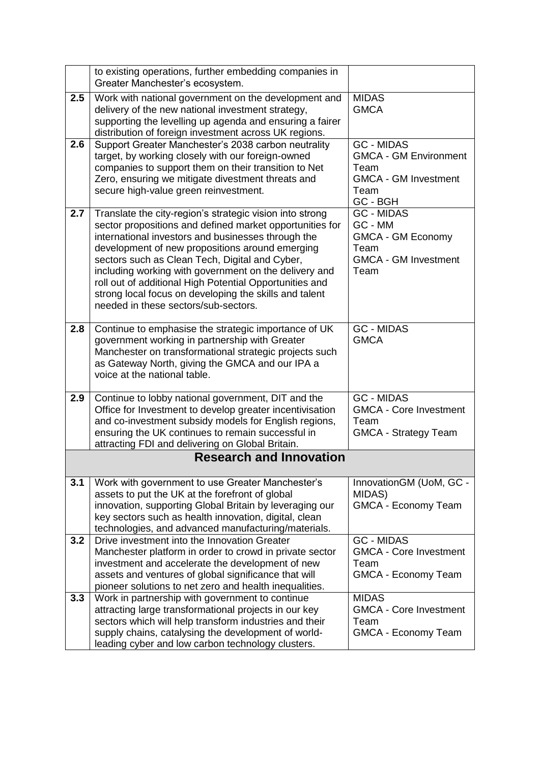|     | to existing operations, further embedding companies in<br>Greater Manchester's ecosystem.                                                                                                                                                                                                                                                                                                                                                                                                             |                                                                                                              |
|-----|-------------------------------------------------------------------------------------------------------------------------------------------------------------------------------------------------------------------------------------------------------------------------------------------------------------------------------------------------------------------------------------------------------------------------------------------------------------------------------------------------------|--------------------------------------------------------------------------------------------------------------|
| 2.5 | Work with national government on the development and<br>delivery of the new national investment strategy,<br>supporting the levelling up agenda and ensuring a fairer<br>distribution of foreign investment across UK regions.                                                                                                                                                                                                                                                                        | <b>MIDAS</b><br><b>GMCA</b>                                                                                  |
| 2.6 | Support Greater Manchester's 2038 carbon neutrality<br>target, by working closely with our foreign-owned<br>companies to support them on their transition to Net<br>Zero, ensuring we mitigate divestment threats and<br>secure high-value green reinvestment.                                                                                                                                                                                                                                        | <b>GC - MIDAS</b><br><b>GMCA - GM Environment</b><br>Team<br><b>GMCA - GM Investment</b><br>Team<br>GC - BGH |
| 2.7 | Translate the city-region's strategic vision into strong<br>sector propositions and defined market opportunities for<br>international investors and businesses through the<br>development of new propositions around emerging<br>sectors such as Clean Tech, Digital and Cyber,<br>including working with government on the delivery and<br>roll out of additional High Potential Opportunities and<br>strong local focus on developing the skills and talent<br>needed in these sectors/sub-sectors. | <b>GC - MIDAS</b><br>GC - MM<br><b>GMCA - GM Economy</b><br>Team<br><b>GMCA - GM Investment</b><br>Team      |
| 2.8 | Continue to emphasise the strategic importance of UK<br>government working in partnership with Greater<br>Manchester on transformational strategic projects such<br>as Gateway North, giving the GMCA and our IPA a<br>voice at the national table.                                                                                                                                                                                                                                                   | <b>GC - MIDAS</b><br><b>GMCA</b>                                                                             |
| 2.9 | Continue to lobby national government, DIT and the<br>Office for Investment to develop greater incentivisation<br>and co-investment subsidy models for English regions,<br>ensuring the UK continues to remain successful in<br>attracting FDI and delivering on Global Britain.                                                                                                                                                                                                                      | <b>GC - MIDAS</b><br><b>GMCA - Core Investment</b><br>Team<br><b>GMCA - Strategy Team</b>                    |
|     | <b>Research and Innovation</b>                                                                                                                                                                                                                                                                                                                                                                                                                                                                        |                                                                                                              |
| 3.1 | Work with government to use Greater Manchester's<br>assets to put the UK at the forefront of global<br>innovation, supporting Global Britain by leveraging our<br>key sectors such as health innovation, digital, clean<br>technologies, and advanced manufacturing/materials.                                                                                                                                                                                                                        | InnovationGM (UoM, GC -<br>MIDAS)<br><b>GMCA - Economy Team</b>                                              |
| 3.2 | Drive investment into the Innovation Greater<br>Manchester platform in order to crowd in private sector<br>investment and accelerate the development of new<br>assets and ventures of global significance that will<br>pioneer solutions to net zero and health inequalities.                                                                                                                                                                                                                         | <b>GC - MIDAS</b><br><b>GMCA - Core Investment</b><br>Team<br><b>GMCA - Economy Team</b>                     |
| 3.3 | Work in partnership with government to continue<br>attracting large transformational projects in our key<br>sectors which will help transform industries and their<br>supply chains, catalysing the development of world-<br>leading cyber and low carbon technology clusters.                                                                                                                                                                                                                        | <b>MIDAS</b><br><b>GMCA - Core Investment</b><br>Team<br>GMCA - Economy Team                                 |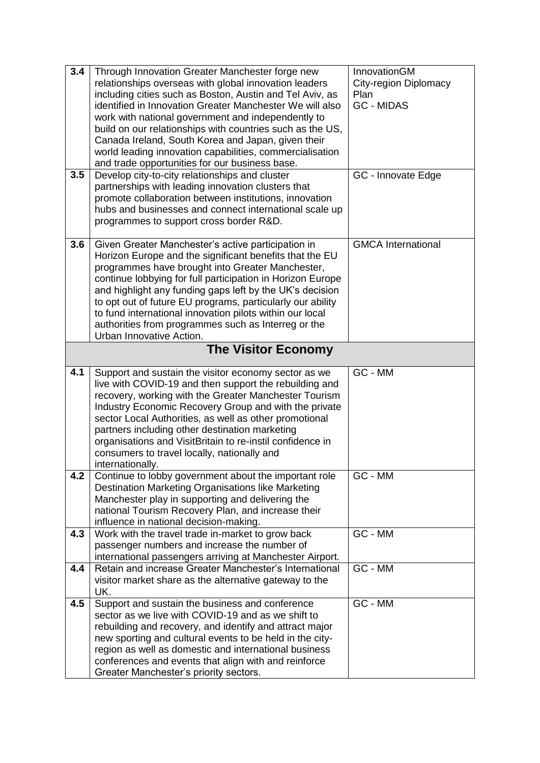| 3.4<br>3.5 | Through Innovation Greater Manchester forge new<br>relationships overseas with global innovation leaders<br>including cities such as Boston, Austin and Tel Aviv, as<br>identified in Innovation Greater Manchester We will also<br>work with national government and independently to<br>build on our relationships with countries such as the US,<br>Canada Ireland, South Korea and Japan, given their<br>world leading innovation capabilities, commercialisation<br>and trade opportunities for our business base.<br>Develop city-to-city relationships and cluster | InnovationGM<br><b>City-region Diplomacy</b><br>Plan<br><b>GC - MIDAS</b><br>GC - Innovate Edge |
|------------|---------------------------------------------------------------------------------------------------------------------------------------------------------------------------------------------------------------------------------------------------------------------------------------------------------------------------------------------------------------------------------------------------------------------------------------------------------------------------------------------------------------------------------------------------------------------------|-------------------------------------------------------------------------------------------------|
|            | partnerships with leading innovation clusters that<br>promote collaboration between institutions, innovation<br>hubs and businesses and connect international scale up<br>programmes to support cross border R&D.                                                                                                                                                                                                                                                                                                                                                         |                                                                                                 |
| 3.6        | Given Greater Manchester's active participation in<br>Horizon Europe and the significant benefits that the EU<br>programmes have brought into Greater Manchester,<br>continue lobbying for full participation in Horizon Europe<br>and highlight any funding gaps left by the UK's decision<br>to opt out of future EU programs, particularly our ability<br>to fund international innovation pilots within our local<br>authorities from programmes such as Interreg or the<br>Urban Innovative Action.                                                                  | <b>GMCA</b> International                                                                       |
|            | <b>The Visitor Economy</b>                                                                                                                                                                                                                                                                                                                                                                                                                                                                                                                                                |                                                                                                 |
| 4.1        | Support and sustain the visitor economy sector as we<br>live with COVID-19 and then support the rebuilding and<br>recovery, working with the Greater Manchester Tourism<br>Industry Economic Recovery Group and with the private<br>sector Local Authorities, as well as other promotional<br>partners including other destination marketing<br>organisations and VisitBritain to re-instil confidence in<br>consumers to travel locally, nationally and<br>internationally.                                                                                              | GC - MM                                                                                         |
| 4.2        | Continue to lobby government about the important role<br>Destination Marketing Organisations like Marketing<br>Manchester play in supporting and delivering the<br>national Tourism Recovery Plan, and increase their<br>influence in national decision-making.                                                                                                                                                                                                                                                                                                           | GC - MM                                                                                         |
| 4.3        | Work with the travel trade in-market to grow back<br>passenger numbers and increase the number of<br>international passengers arriving at Manchester Airport.                                                                                                                                                                                                                                                                                                                                                                                                             | GC - MM                                                                                         |
| 4.4        | Retain and increase Greater Manchester's International<br>visitor market share as the alternative gateway to the<br>UK.                                                                                                                                                                                                                                                                                                                                                                                                                                                   | GC - MM                                                                                         |
| 4.5        | Support and sustain the business and conference<br>sector as we live with COVID-19 and as we shift to<br>rebuilding and recovery, and identify and attract major<br>new sporting and cultural events to be held in the city-<br>region as well as domestic and international business<br>conferences and events that align with and reinforce<br>Greater Manchester's priority sectors.                                                                                                                                                                                   | GC - MM                                                                                         |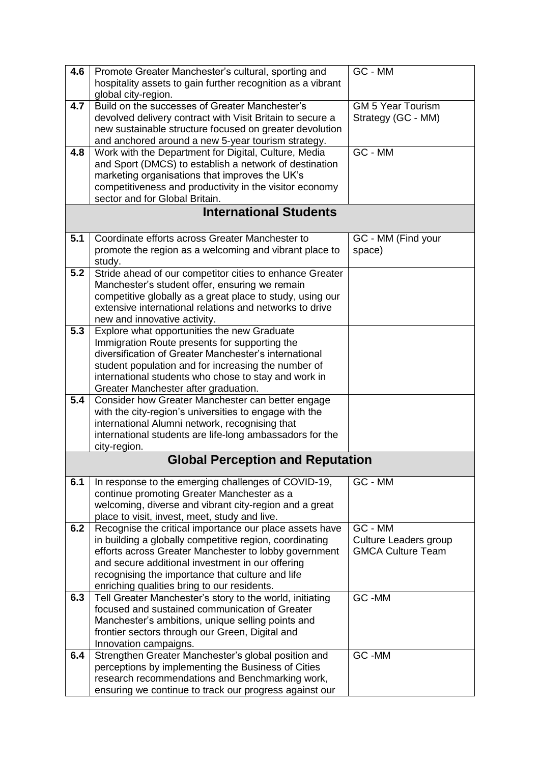| 4.6 | Promote Greater Manchester's cultural, sporting and<br>hospitality assets to gain further recognition as a vibrant                                                                                                                                                                                                                 | GC - MM                                                      |
|-----|------------------------------------------------------------------------------------------------------------------------------------------------------------------------------------------------------------------------------------------------------------------------------------------------------------------------------------|--------------------------------------------------------------|
|     | global city-region.                                                                                                                                                                                                                                                                                                                |                                                              |
| 4.7 | Build on the successes of Greater Manchester's<br>devolved delivery contract with Visit Britain to secure a<br>new sustainable structure focused on greater devolution<br>and anchored around a new 5-year tourism strategy.                                                                                                       | <b>GM 5 Year Tourism</b><br>Strategy (GC - MM)               |
| 4.8 | Work with the Department for Digital, Culture, Media<br>and Sport (DMCS) to establish a network of destination<br>marketing organisations that improves the UK's<br>competitiveness and productivity in the visitor economy<br>sector and for Global Britain.                                                                      | GC - MM                                                      |
|     | <b>International Students</b>                                                                                                                                                                                                                                                                                                      |                                                              |
| 5.1 | Coordinate efforts across Greater Manchester to<br>promote the region as a welcoming and vibrant place to<br>study.                                                                                                                                                                                                                | GC - MM (Find your<br>space)                                 |
| 5.2 | Stride ahead of our competitor cities to enhance Greater<br>Manchester's student offer, ensuring we remain<br>competitive globally as a great place to study, using our<br>extensive international relations and networks to drive<br>new and innovative activity.                                                                 |                                                              |
| 5.3 | Explore what opportunities the new Graduate<br>Immigration Route presents for supporting the<br>diversification of Greater Manchester's international<br>student population and for increasing the number of<br>international students who chose to stay and work in<br>Greater Manchester after graduation.                       |                                                              |
| 5.4 | Consider how Greater Manchester can better engage<br>with the city-region's universities to engage with the<br>international Alumni network, recognising that<br>international students are life-long ambassadors for the<br>city-region.                                                                                          |                                                              |
|     | <b>Global Perception and Reputation</b>                                                                                                                                                                                                                                                                                            |                                                              |
| 6.1 | In response to the emerging challenges of COVID-19,<br>continue promoting Greater Manchester as a<br>welcoming, diverse and vibrant city-region and a great<br>place to visit, invest, meet, study and live.                                                                                                                       | GC - MM                                                      |
| 6.2 | Recognise the critical importance our place assets have<br>in building a globally competitive region, coordinating<br>efforts across Greater Manchester to lobby government<br>and secure additional investment in our offering<br>recognising the importance that culture and life<br>enriching qualities bring to our residents. | GC - MM<br>Culture Leaders group<br><b>GMCA Culture Team</b> |
| 6.3 | Tell Greater Manchester's story to the world, initiating<br>focused and sustained communication of Greater<br>Manchester's ambitions, unique selling points and<br>frontier sectors through our Green, Digital and<br>Innovation campaigns.                                                                                        | GC-MM                                                        |
| 6.4 | Strengthen Greater Manchester's global position and<br>perceptions by implementing the Business of Cities<br>research recommendations and Benchmarking work,<br>ensuring we continue to track our progress against our                                                                                                             | GC-MM                                                        |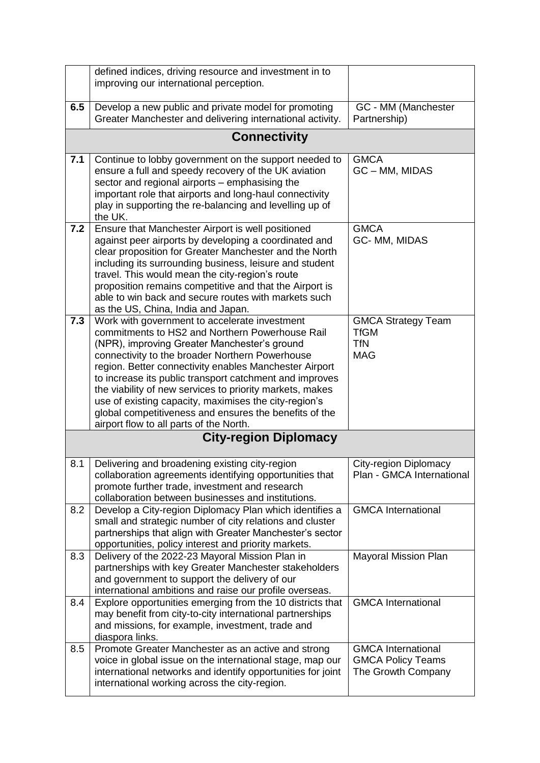|     | defined indices, driving resource and investment in to<br>improving our international perception.                                                                                                                                                                                                                                                                                                                                                                                                                                                  |                                                                             |
|-----|----------------------------------------------------------------------------------------------------------------------------------------------------------------------------------------------------------------------------------------------------------------------------------------------------------------------------------------------------------------------------------------------------------------------------------------------------------------------------------------------------------------------------------------------------|-----------------------------------------------------------------------------|
| 6.5 | Develop a new public and private model for promoting<br>Greater Manchester and delivering international activity.                                                                                                                                                                                                                                                                                                                                                                                                                                  | GC - MM (Manchester<br>Partnership)                                         |
|     | <b>Connectivity</b>                                                                                                                                                                                                                                                                                                                                                                                                                                                                                                                                |                                                                             |
| 7.1 | Continue to lobby government on the support needed to<br>ensure a full and speedy recovery of the UK aviation<br>sector and regional airports - emphasising the<br>important role that airports and long-haul connectivity<br>play in supporting the re-balancing and levelling up of<br>the UK.                                                                                                                                                                                                                                                   | <b>GMCA</b><br>GC - MM, MIDAS                                               |
| 7.2 | Ensure that Manchester Airport is well positioned<br>against peer airports by developing a coordinated and<br>clear proposition for Greater Manchester and the North<br>including its surrounding business, leisure and student<br>travel. This would mean the city-region's route<br>proposition remains competitive and that the Airport is<br>able to win back and secure routes with markets such<br>as the US, China, India and Japan.                                                                                                        | <b>GMCA</b><br>GC- MM, MIDAS                                                |
| 7.3 | Work with government to accelerate investment<br>commitments to HS2 and Northern Powerhouse Rail<br>(NPR), improving Greater Manchester's ground<br>connectivity to the broader Northern Powerhouse<br>region. Better connectivity enables Manchester Airport<br>to increase its public transport catchment and improves<br>the viability of new services to priority markets, makes<br>use of existing capacity, maximises the city-region's<br>global competitiveness and ensures the benefits of the<br>airport flow to all parts of the North. | <b>GMCA Strategy Team</b><br><b>TfGM</b><br><b>TfN</b><br><b>MAG</b>        |
|     | <b>City-region Diplomacy</b>                                                                                                                                                                                                                                                                                                                                                                                                                                                                                                                       |                                                                             |
| 8.1 | Delivering and broadening existing city-region<br>collaboration agreements identifying opportunities that<br>promote further trade, investment and research<br>collaboration between businesses and institutions.                                                                                                                                                                                                                                                                                                                                  | <b>City-region Diplomacy</b><br>Plan - GMCA International                   |
| 8.2 | Develop a City-region Diplomacy Plan which identifies a<br>small and strategic number of city relations and cluster<br>partnerships that align with Greater Manchester's sector<br>opportunities, policy interest and priority markets.                                                                                                                                                                                                                                                                                                            | <b>GMCA</b> International                                                   |
| 8.3 | Delivery of the 2022-23 Mayoral Mission Plan in<br>partnerships with key Greater Manchester stakeholders<br>and government to support the delivery of our<br>international ambitions and raise our profile overseas.                                                                                                                                                                                                                                                                                                                               | <b>Mayoral Mission Plan</b>                                                 |
| 8.4 | Explore opportunities emerging from the 10 districts that<br>may benefit from city-to-city international partnerships<br>and missions, for example, investment, trade and<br>diaspora links.                                                                                                                                                                                                                                                                                                                                                       | <b>GMCA</b> International                                                   |
| 8.5 | Promote Greater Manchester as an active and strong<br>voice in global issue on the international stage, map our<br>international networks and identify opportunities for joint<br>international working across the city-region.                                                                                                                                                                                                                                                                                                                    | <b>GMCA International</b><br><b>GMCA Policy Teams</b><br>The Growth Company |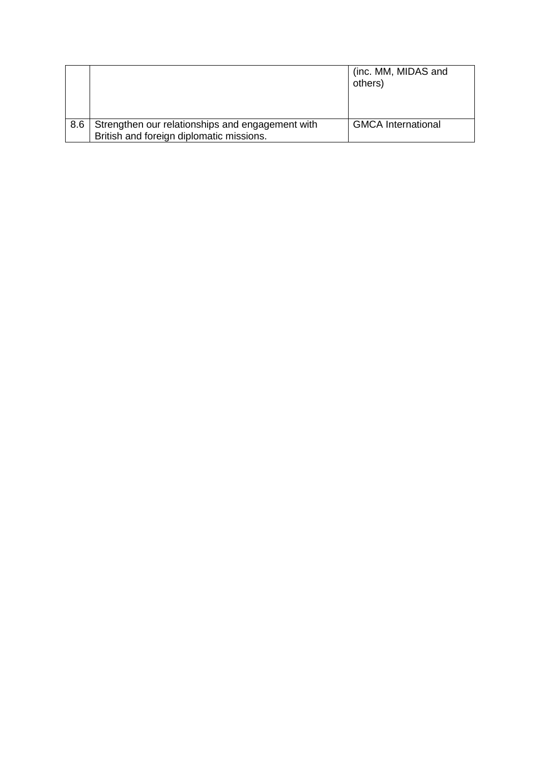|     |                                                  | (inc. MM, MIDAS and<br>others) |
|-----|--------------------------------------------------|--------------------------------|
|     |                                                  |                                |
| 8.6 | Strengthen our relationships and engagement with | <b>GMCA International</b>      |
|     | British and foreign diplomatic missions.         |                                |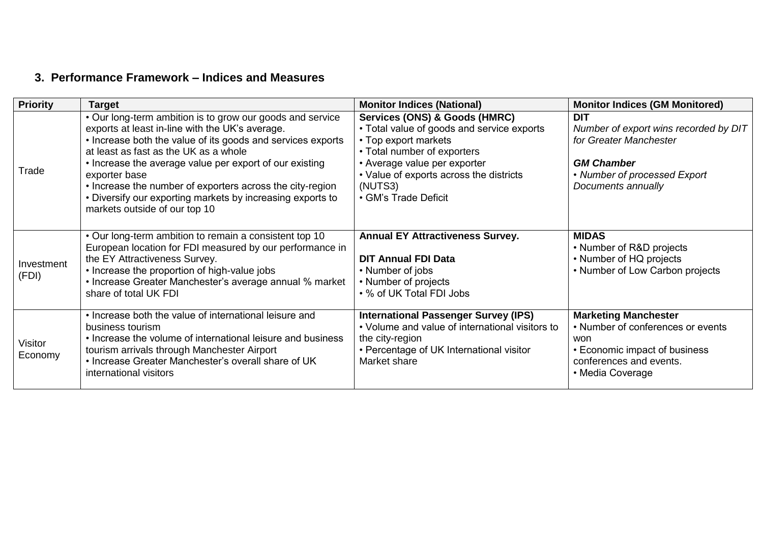## **3. Performance Framework – Indices and Measures**

| <b>Priority</b>     | <b>Target</b>                                                                                                                                                                                                                                                                                                                                                                                                                                                | <b>Monitor Indices (National)</b>                                                                                                                                                                                                                | <b>Monitor Indices (GM Monitored)</b>                                                                                                                    |
|---------------------|--------------------------------------------------------------------------------------------------------------------------------------------------------------------------------------------------------------------------------------------------------------------------------------------------------------------------------------------------------------------------------------------------------------------------------------------------------------|--------------------------------------------------------------------------------------------------------------------------------------------------------------------------------------------------------------------------------------------------|----------------------------------------------------------------------------------------------------------------------------------------------------------|
| Trade               | • Our long-term ambition is to grow our goods and service<br>exports at least in-line with the UK's average.<br>• Increase both the value of its goods and services exports<br>at least as fast as the UK as a whole<br>• Increase the average value per export of our existing<br>exporter base<br>• Increase the number of exporters across the city-region<br>• Diversify our exporting markets by increasing exports to<br>markets outside of our top 10 | Services (ONS) & Goods (HMRC)<br>• Total value of goods and service exports<br>• Top export markets<br>• Total number of exporters<br>• Average value per exporter<br>• Value of exports across the districts<br>(NUTS3)<br>• GM's Trade Deficit | <b>DIT</b><br>Number of export wins recorded by DIT<br>for Greater Manchester<br><b>GM Chamber</b><br>• Number of processed Export<br>Documents annually |
| Investment<br>(FDI) | . Our long-term ambition to remain a consistent top 10<br>European location for FDI measured by our performance in<br>the EY Attractiveness Survey.<br>• Increase the proportion of high-value jobs<br>• Increase Greater Manchester's average annual % market<br>share of total UK FDI                                                                                                                                                                      | <b>Annual EY Attractiveness Survey.</b><br><b>DIT Annual FDI Data</b><br>• Number of jobs<br>• Number of projects<br>• % of UK Total FDI Jobs                                                                                                    | <b>MIDAS</b><br>• Number of R&D projects<br>• Number of HQ projects<br>• Number of Low Carbon projects                                                   |
| Visitor<br>Economy  | • Increase both the value of international leisure and<br>business tourism<br>• Increase the volume of international leisure and business<br>tourism arrivals through Manchester Airport<br>. Increase Greater Manchester's overall share of UK<br>international visitors                                                                                                                                                                                    | <b>International Passenger Survey (IPS)</b><br>• Volume and value of international visitors to<br>the city-region<br>• Percentage of UK International visitor<br>Market share                                                                    | <b>Marketing Manchester</b><br>• Number of conferences or events<br>won<br>• Economic impact of business<br>conferences and events.<br>• Media Coverage  |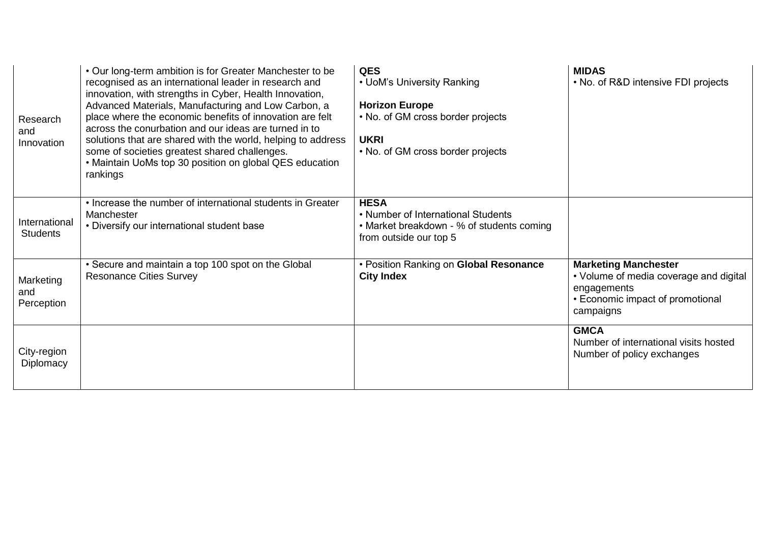| Research<br>and<br>Innovation    | • Our long-term ambition is for Greater Manchester to be<br>recognised as an international leader in research and<br>innovation, with strengths in Cyber, Health Innovation,<br>Advanced Materials, Manufacturing and Low Carbon, a<br>place where the economic benefits of innovation are felt<br>across the conurbation and our ideas are turned in to<br>solutions that are shared with the world, helping to address<br>some of societies greatest shared challenges.<br>• Maintain UoMs top 30 position on global QES education<br>rankings | <b>QES</b><br>• UoM's University Ranking<br><b>Horizon Europe</b><br>• No. of GM cross border projects<br><b>UKRI</b><br>• No. of GM cross border projects | <b>MIDAS</b><br>• No. of R&D intensive FDI projects                                                                                   |
|----------------------------------|--------------------------------------------------------------------------------------------------------------------------------------------------------------------------------------------------------------------------------------------------------------------------------------------------------------------------------------------------------------------------------------------------------------------------------------------------------------------------------------------------------------------------------------------------|------------------------------------------------------------------------------------------------------------------------------------------------------------|---------------------------------------------------------------------------------------------------------------------------------------|
| International<br><b>Students</b> | • Increase the number of international students in Greater<br>Manchester<br>• Diversify our international student base                                                                                                                                                                                                                                                                                                                                                                                                                           | <b>HESA</b><br>• Number of International Students<br>• Market breakdown - % of students coming<br>from outside our top 5                                   |                                                                                                                                       |
| Marketing<br>and<br>Perception   | • Secure and maintain a top 100 spot on the Global<br><b>Resonance Cities Survey</b>                                                                                                                                                                                                                                                                                                                                                                                                                                                             | • Position Ranking on Global Resonance<br><b>City Index</b>                                                                                                | <b>Marketing Manchester</b><br>• Volume of media coverage and digital<br>engagements<br>• Economic impact of promotional<br>campaigns |
| City-region<br>Diplomacy         |                                                                                                                                                                                                                                                                                                                                                                                                                                                                                                                                                  |                                                                                                                                                            | <b>GMCA</b><br>Number of international visits hosted<br>Number of policy exchanges                                                    |